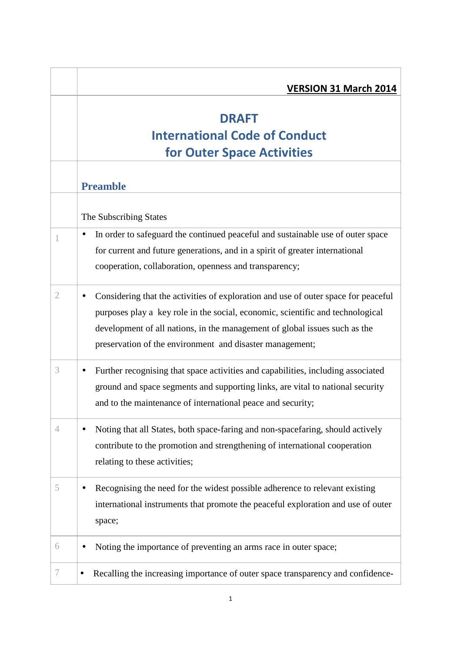|   | <b>VERSION 31 March 2014</b>                                                                                                                                                                                                                                                                                   |
|---|----------------------------------------------------------------------------------------------------------------------------------------------------------------------------------------------------------------------------------------------------------------------------------------------------------------|
|   | <b>DRAFT</b><br><b>International Code of Conduct</b><br><b>for Outer Space Activities</b>                                                                                                                                                                                                                      |
|   | <b>Preamble</b>                                                                                                                                                                                                                                                                                                |
|   | The Subscribing States                                                                                                                                                                                                                                                                                         |
|   | In order to safeguard the continued peaceful and sustainable use of outer space<br>$\bullet$<br>for current and future generations, and in a spirit of greater international<br>cooperation, collaboration, openness and transparency;                                                                         |
| 2 | Considering that the activities of exploration and use of outer space for peaceful<br>purposes play a key role in the social, economic, scientific and technological<br>development of all nations, in the management of global issues such as the<br>preservation of the environment and disaster management; |
| 3 | Further recognising that space activities and capabilities, including associated<br>ground and space segments and supporting links, are vital to national security<br>and to the maintenance of international peace and security;                                                                              |
| 4 | Noting that all States, both space-faring and non-spacefaring, should actively<br>contribute to the promotion and strengthening of international cooperation<br>relating to these activities;                                                                                                                  |
| 5 | Recognising the need for the widest possible adherence to relevant existing<br>international instruments that promote the peaceful exploration and use of outer<br>space;                                                                                                                                      |
| 6 | Noting the importance of preventing an arms race in outer space;                                                                                                                                                                                                                                               |
| 7 | Recalling the increasing importance of outer space transparency and confidence-<br>$\bullet$                                                                                                                                                                                                                   |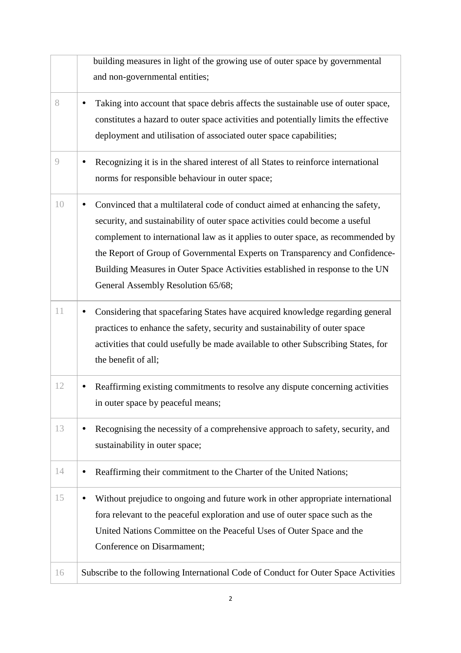|    | building measures in light of the growing use of outer space by governmental                   |
|----|------------------------------------------------------------------------------------------------|
|    | and non-governmental entities;                                                                 |
| 8  | Taking into account that space debris affects the sustainable use of outer space,              |
|    | constitutes a hazard to outer space activities and potentially limits the effective            |
|    | deployment and utilisation of associated outer space capabilities;                             |
| 9  | Recognizing it is in the shared interest of all States to reinforce international<br>$\bullet$ |
|    | norms for responsible behaviour in outer space;                                                |
| 10 | Convinced that a multilateral code of conduct aimed at enhancing the safety,<br>$\bullet$      |
|    | security, and sustainability of outer space activities could become a useful                   |
|    | complement to international law as it applies to outer space, as recommended by                |
|    | the Report of Group of Governmental Experts on Transparency and Confidence-                    |
|    | Building Measures in Outer Space Activities established in response to the UN                  |
|    | General Assembly Resolution 65/68;                                                             |
| 11 | Considering that spacefaring States have acquired knowledge regarding general<br>$\bullet$     |
|    | practices to enhance the safety, security and sustainability of outer space                    |
|    | activities that could usefully be made available to other Subscribing States, for              |
|    | the benefit of all;                                                                            |
| 12 | Reaffirming existing commitments to resolve any dispute concerning activities                  |
|    | in outer space by peaceful means;                                                              |
| 13 | Recognising the necessity of a comprehensive approach to safety, security, and                 |
|    | sustainability in outer space;                                                                 |
| 14 | Reaffirming their commitment to the Charter of the United Nations;                             |
| 15 | Without prejudice to ongoing and future work in other appropriate international<br>$\bullet$   |
|    | fora relevant to the peaceful exploration and use of outer space such as the                   |
|    | United Nations Committee on the Peaceful Uses of Outer Space and the                           |
|    | Conference on Disarmament;                                                                     |
| 16 | Subscribe to the following International Code of Conduct for Outer Space Activities            |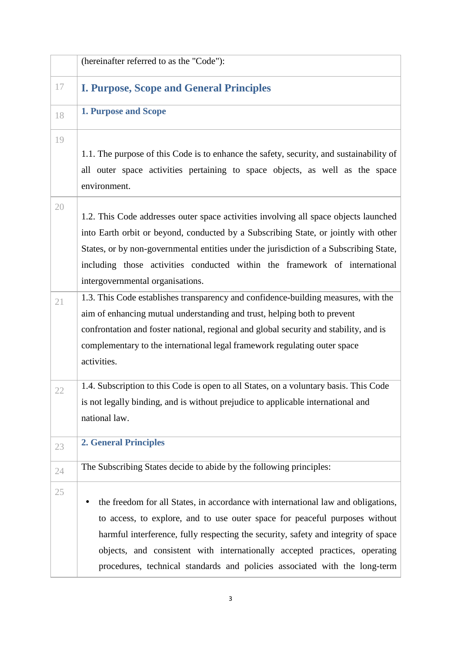|    | (hereinafter referred to as the "Code"):                                                                                                                                                                                                                                                                                                                                                                           |
|----|--------------------------------------------------------------------------------------------------------------------------------------------------------------------------------------------------------------------------------------------------------------------------------------------------------------------------------------------------------------------------------------------------------------------|
| 17 | <b>I. Purpose, Scope and General Principles</b>                                                                                                                                                                                                                                                                                                                                                                    |
| 18 | <b>1. Purpose and Scope</b>                                                                                                                                                                                                                                                                                                                                                                                        |
| 19 | 1.1. The purpose of this Code is to enhance the safety, security, and sustainability of<br>all outer space activities pertaining to space objects, as well as the space<br>environment.                                                                                                                                                                                                                            |
| 20 | 1.2. This Code addresses outer space activities involving all space objects launched<br>into Earth orbit or beyond, conducted by a Subscribing State, or jointly with other<br>States, or by non-governmental entities under the jurisdiction of a Subscribing State,<br>including those activities conducted within the framework of international<br>intergovernmental organisations.                            |
| 21 | 1.3. This Code establishes transparency and confidence-building measures, with the<br>aim of enhancing mutual understanding and trust, helping both to prevent<br>confrontation and foster national, regional and global security and stability, and is<br>complementary to the international legal framework regulating outer space<br>activities.                                                                |
| 22 | 1.4. Subscription to this Code is open to all States, on a voluntary basis. This Code<br>is not legally binding, and is without prejudice to applicable international and<br>national law.                                                                                                                                                                                                                         |
| 23 | <b>2. General Principles</b>                                                                                                                                                                                                                                                                                                                                                                                       |
| 24 | The Subscribing States decide to abide by the following principles:                                                                                                                                                                                                                                                                                                                                                |
| 25 | the freedom for all States, in accordance with international law and obligations,<br>to access, to explore, and to use outer space for peaceful purposes without<br>harmful interference, fully respecting the security, safety and integrity of space<br>objects, and consistent with internationally accepted practices, operating<br>procedures, technical standards and policies associated with the long-term |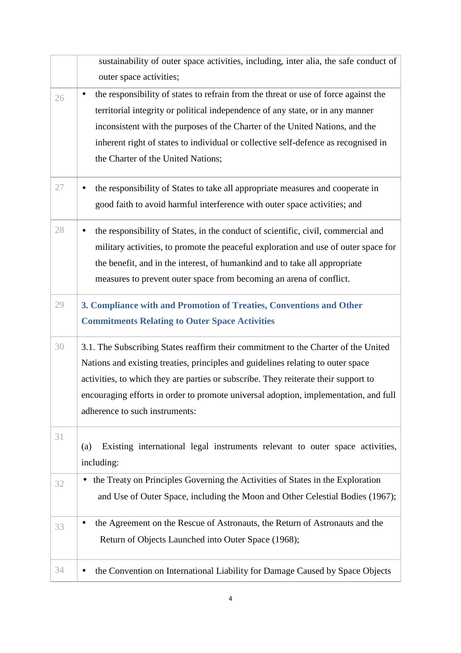|    | sustainability of outer space activities, including, inter alia, the safe conduct of             |
|----|--------------------------------------------------------------------------------------------------|
|    | outer space activities;                                                                          |
| 26 | the responsibility of states to refrain from the threat or use of force against the<br>$\bullet$ |
|    | territorial integrity or political independence of any state, or in any manner                   |
|    | inconsistent with the purposes of the Charter of the United Nations, and the                     |
|    | inherent right of states to individual or collective self-defence as recognised in               |
|    | the Charter of the United Nations;                                                               |
| 27 | the responsibility of States to take all appropriate measures and cooperate in                   |
|    | good faith to avoid harmful interference with outer space activities; and                        |
|    |                                                                                                  |
| 28 | the responsibility of States, in the conduct of scientific, civil, commercial and                |
|    | military activities, to promote the peaceful exploration and use of outer space for              |
|    | the benefit, and in the interest, of humankind and to take all appropriate                       |
|    | measures to prevent outer space from becoming an arena of conflict.                              |
| 29 | 3. Compliance with and Promotion of Treaties, Conventions and Other                              |
|    | <b>Commitments Relating to Outer Space Activities</b>                                            |
| 30 | 3.1. The Subscribing States reaffirm their commitment to the Charter of the United               |
|    | Nations and existing treaties, principles and guidelines relating to outer space                 |
|    | activities, to which they are parties or subscribe. They reiterate their support to              |
|    | encouraging efforts in order to promote universal adoption, implementation, and full             |
|    | adherence to such instruments:                                                                   |
| 31 |                                                                                                  |
|    | Existing international legal instruments relevant to outer space activities,<br>(a)              |
|    | including:                                                                                       |
| 32 | the Treaty on Principles Governing the Activities of States in the Exploration                   |
|    | and Use of Outer Space, including the Moon and Other Celestial Bodies (1967);                    |
| 33 | the Agreement on the Rescue of Astronauts, the Return of Astronauts and the<br>$\bullet$         |
|    | Return of Objects Launched into Outer Space (1968);                                              |
|    |                                                                                                  |
| 34 | the Convention on International Liability for Damage Caused by Space Objects                     |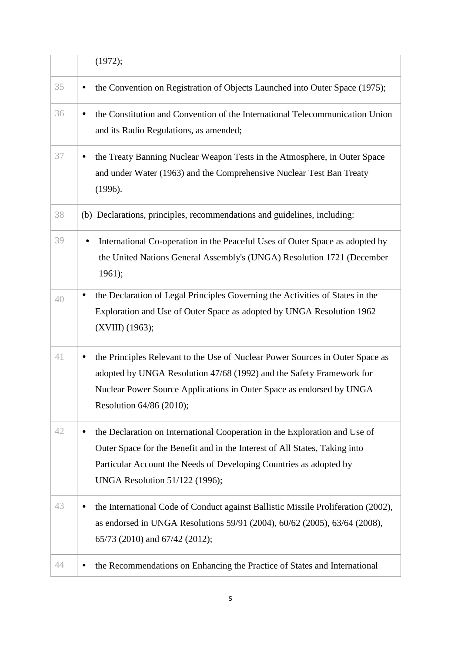|    | (1972);                                                                                                                                                                                                                                                          |
|----|------------------------------------------------------------------------------------------------------------------------------------------------------------------------------------------------------------------------------------------------------------------|
| 35 | the Convention on Registration of Objects Launched into Outer Space (1975);<br>$\bullet$                                                                                                                                                                         |
| 36 | the Constitution and Convention of the International Telecommunication Union<br>$\bullet$<br>and its Radio Regulations, as amended;                                                                                                                              |
| 37 | the Treaty Banning Nuclear Weapon Tests in the Atmosphere, in Outer Space<br>and under Water (1963) and the Comprehensive Nuclear Test Ban Treaty<br>(1996).                                                                                                     |
| 38 | (b) Declarations, principles, recommendations and guidelines, including:                                                                                                                                                                                         |
| 39 | International Co-operation in the Peaceful Uses of Outer Space as adopted by<br>the United Nations General Assembly's (UNGA) Resolution 1721 (December<br>1961);                                                                                                 |
| 40 | the Declaration of Legal Principles Governing the Activities of States in the<br>$\bullet$<br>Exploration and Use of Outer Space as adopted by UNGA Resolution 1962<br>(XVIII) (1963);                                                                           |
| 41 | the Principles Relevant to the Use of Nuclear Power Sources in Outer Space as<br>adopted by UNGA Resolution 47/68 (1992) and the Safety Framework for<br>Nuclear Power Source Applications in Outer Space as endorsed by UNGA<br>Resolution 64/86 (2010);        |
| 42 | the Declaration on International Cooperation in the Exploration and Use of<br>Outer Space for the Benefit and in the Interest of All States, Taking into<br>Particular Account the Needs of Developing Countries as adopted by<br>UNGA Resolution 51/122 (1996); |
| 43 | the International Code of Conduct against Ballistic Missile Proliferation (2002),<br>as endorsed in UNGA Resolutions 59/91 (2004), 60/62 (2005), 63/64 (2008),<br>65/73 (2010) and 67/42 (2012);                                                                 |
| 44 | the Recommendations on Enhancing the Practice of States and International                                                                                                                                                                                        |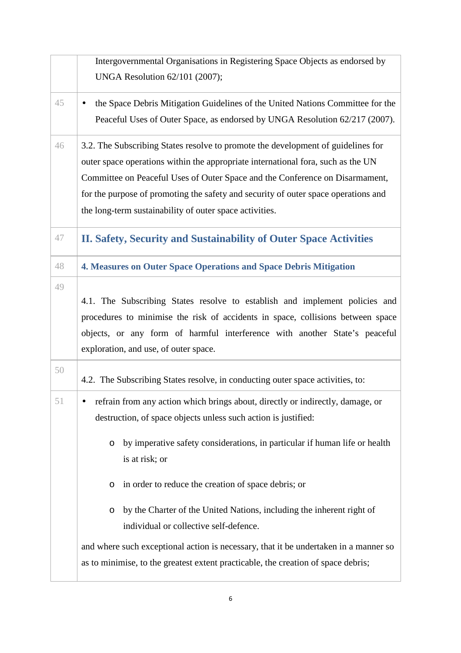|    | Intergovernmental Organisations in Registering Space Objects as endorsed by          |
|----|--------------------------------------------------------------------------------------|
|    | UNGA Resolution 62/101 (2007);                                                       |
| 45 | the Space Debris Mitigation Guidelines of the United Nations Committee for the       |
|    | Peaceful Uses of Outer Space, as endorsed by UNGA Resolution 62/217 (2007).          |
| 46 | 3.2. The Subscribing States resolve to promote the development of guidelines for     |
|    | outer space operations within the appropriate international fora, such as the UN     |
|    | Committee on Peaceful Uses of Outer Space and the Conference on Disarmament,         |
|    | for the purpose of promoting the safety and security of outer space operations and   |
|    | the long-term sustainability of outer space activities.                              |
| 47 | II. Safety, Security and Sustainability of Outer Space Activities                    |
| 48 | 4. Measures on Outer Space Operations and Space Debris Mitigation                    |
| 49 |                                                                                      |
|    | 4.1. The Subscribing States resolve to establish and implement policies and          |
|    | procedures to minimise the risk of accidents in space, collisions between space      |
|    | objects, or any form of harmful interference with another State's peaceful           |
|    | exploration, and use, of outer space.                                                |
| 50 | 4.2. The Subscribing States resolve, in conducting outer space activities, to:       |
| 51 | refrain from any action which brings about, directly or indirectly, damage, or       |
|    | destruction, of space objects unless such action is justified:                       |
|    |                                                                                      |
|    | by imperative safety considerations, in particular if human life or health<br>O      |
|    | is at risk; or                                                                       |
|    | in order to reduce the creation of space debris; or<br>O                             |
|    | by the Charter of the United Nations, including the inherent right of<br>O           |
|    | individual or collective self-defence.                                               |
|    | and where such exceptional action is necessary, that it be undertaken in a manner so |
|    | as to minimise, to the greatest extent practicable, the creation of space debris;    |
|    |                                                                                      |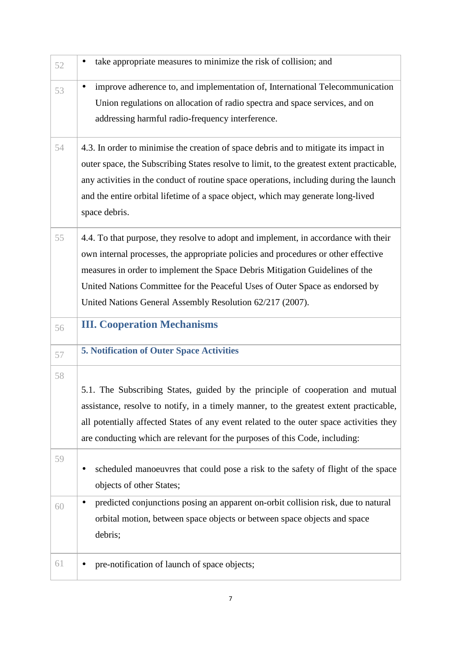| 52 | take appropriate measures to minimize the risk of collision; and<br>٠                                                                                                                                                                                                                                                                                                                                  |
|----|--------------------------------------------------------------------------------------------------------------------------------------------------------------------------------------------------------------------------------------------------------------------------------------------------------------------------------------------------------------------------------------------------------|
| 53 | improve adherence to, and implementation of, International Telecommunication<br>٠<br>Union regulations on allocation of radio spectra and space services, and on<br>addressing harmful radio-frequency interference.                                                                                                                                                                                   |
| 54 | 4.3. In order to minimise the creation of space debris and to mitigate its impact in<br>outer space, the Subscribing States resolve to limit, to the greatest extent practicable,<br>any activities in the conduct of routine space operations, including during the launch<br>and the entire orbital lifetime of a space object, which may generate long-lived<br>space debris.                       |
| 55 | 4.4. To that purpose, they resolve to adopt and implement, in accordance with their<br>own internal processes, the appropriate policies and procedures or other effective<br>measures in order to implement the Space Debris Mitigation Guidelines of the<br>United Nations Committee for the Peaceful Uses of Outer Space as endorsed by<br>United Nations General Assembly Resolution 62/217 (2007). |
|    |                                                                                                                                                                                                                                                                                                                                                                                                        |
| 56 | <b>III. Cooperation Mechanisms</b>                                                                                                                                                                                                                                                                                                                                                                     |
| 57 | <b>5. Notification of Outer Space Activities</b>                                                                                                                                                                                                                                                                                                                                                       |
| 58 | 5.1. The Subscribing States, guided by the principle of cooperation and mutual<br>assistance, resolve to notify, in a timely manner, to the greatest extent practicable,<br>all potentially affected States of any event related to the outer space activities they<br>are conducting which are relevant for the purposes of this Code, including:                                                     |
| 59 | scheduled manoeuvres that could pose a risk to the safety of flight of the space<br>objects of other States;                                                                                                                                                                                                                                                                                           |
| 60 | predicted conjunctions posing an apparent on-orbit collision risk, due to natural<br>orbital motion, between space objects or between space objects and space<br>debris;                                                                                                                                                                                                                               |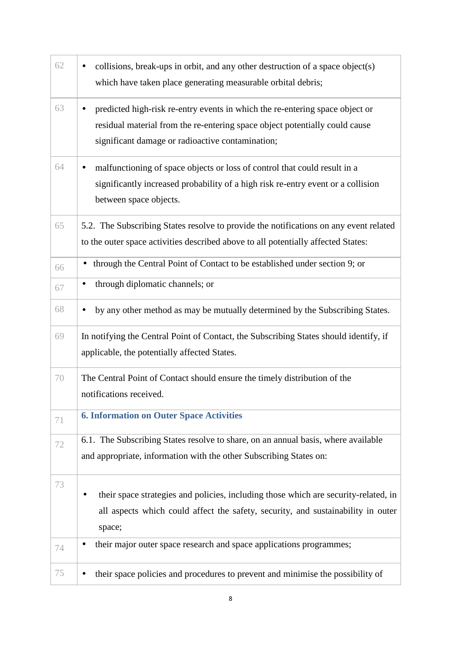| 62 | collisions, break-ups in orbit, and any other destruction of a space object(s)<br>which have taken place generating measurable orbital debris;                                                                  |
|----|-----------------------------------------------------------------------------------------------------------------------------------------------------------------------------------------------------------------|
| 63 | predicted high-risk re-entry events in which the re-entering space object or<br>residual material from the re-entering space object potentially could cause<br>significant damage or radioactive contamination; |
| 64 | malfunctioning of space objects or loss of control that could result in a<br>significantly increased probability of a high risk re-entry event or a collision<br>between space objects.                         |
| 65 | 5.2. The Subscribing States resolve to provide the notifications on any event related<br>to the outer space activities described above to all potentially affected States:                                      |
| 66 | through the Central Point of Contact to be established under section 9; or<br>$\bullet$                                                                                                                         |
| 67 | through diplomatic channels; or                                                                                                                                                                                 |
| 68 | by any other method as may be mutually determined by the Subscribing States.                                                                                                                                    |
| 69 | In notifying the Central Point of Contact, the Subscribing States should identify, if<br>applicable, the potentially affected States.                                                                           |
| 70 | The Central Point of Contact should ensure the timely distribution of the<br>notifications received.                                                                                                            |
| 71 | <b>6. Information on Outer Space Activities</b>                                                                                                                                                                 |
| 72 | 6.1. The Subscribing States resolve to share, on an annual basis, where available<br>and appropriate, information with the other Subscribing States on:                                                         |
| 73 | their space strategies and policies, including those which are security-related, in<br>all aspects which could affect the safety, security, and sustainability in outer<br>space;                               |
| 74 | their major outer space research and space applications programmes;                                                                                                                                             |
| 75 | their space policies and procedures to prevent and minimise the possibility of                                                                                                                                  |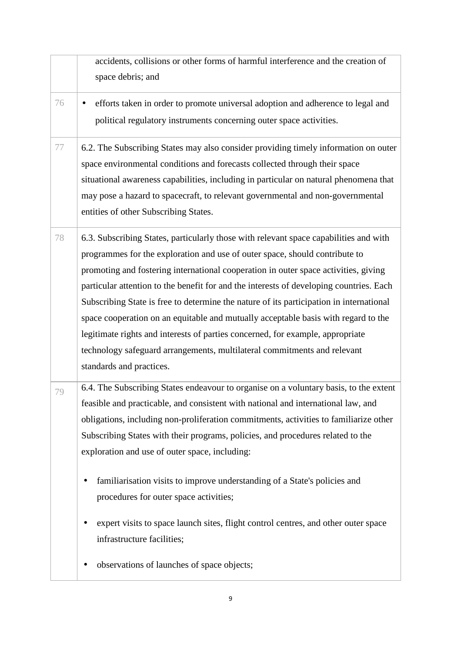|    | accidents, collisions or other forms of harmful interference and the creation of        |
|----|-----------------------------------------------------------------------------------------|
|    | space debris; and                                                                       |
| 76 | efforts taken in order to promote universal adoption and adherence to legal and         |
|    | political regulatory instruments concerning outer space activities.                     |
| 77 | 6.2. The Subscribing States may also consider providing timely information on outer     |
|    | space environmental conditions and forecasts collected through their space              |
|    | situational awareness capabilities, including in particular on natural phenomena that   |
|    | may pose a hazard to spacecraft, to relevant governmental and non-governmental          |
|    | entities of other Subscribing States.                                                   |
| 78 | 6.3. Subscribing States, particularly those with relevant space capabilities and with   |
|    | programmes for the exploration and use of outer space, should contribute to             |
|    | promoting and fostering international cooperation in outer space activities, giving     |
|    | particular attention to the benefit for and the interests of developing countries. Each |
|    | Subscribing State is free to determine the nature of its participation in international |
|    | space cooperation on an equitable and mutually acceptable basis with regard to the      |
|    | legitimate rights and interests of parties concerned, for example, appropriate          |
|    | technology safeguard arrangements, multilateral commitments and relevant                |
|    | standards and practices.                                                                |
| 79 | 6.4. The Subscribing States endeavour to organise on a voluntary basis, to the extent   |
|    | feasible and practicable, and consistent with national and international law, and       |
|    | obligations, including non-proliferation commitments, activities to familiarize other   |
|    | Subscribing States with their programs, policies, and procedures related to the         |
|    | exploration and use of outer space, including:                                          |
|    | familiarisation visits to improve understanding of a State's policies and<br>$\bullet$  |
|    | procedures for outer space activities;                                                  |
|    | expert visits to space launch sites, flight control centres, and other outer space      |
|    | infrastructure facilities;                                                              |
|    | observations of launches of space objects;                                              |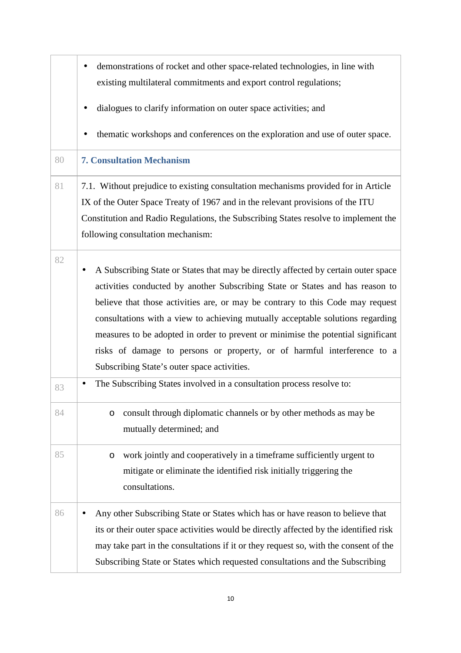|    | demonstrations of rocket and other space-related technologies, in line with                                                                                                                                                                                                                                                                                                                                                                                                                                                                                        |
|----|--------------------------------------------------------------------------------------------------------------------------------------------------------------------------------------------------------------------------------------------------------------------------------------------------------------------------------------------------------------------------------------------------------------------------------------------------------------------------------------------------------------------------------------------------------------------|
|    | existing multilateral commitments and export control regulations;                                                                                                                                                                                                                                                                                                                                                                                                                                                                                                  |
|    | dialogues to clarify information on outer space activities; and                                                                                                                                                                                                                                                                                                                                                                                                                                                                                                    |
|    | thematic workshops and conferences on the exploration and use of outer space.                                                                                                                                                                                                                                                                                                                                                                                                                                                                                      |
| 80 | <b>7. Consultation Mechanism</b>                                                                                                                                                                                                                                                                                                                                                                                                                                                                                                                                   |
| 81 | 7.1. Without prejudice to existing consultation mechanisms provided for in Article<br>IX of the Outer Space Treaty of 1967 and in the relevant provisions of the ITU<br>Constitution and Radio Regulations, the Subscribing States resolve to implement the<br>following consultation mechanism:                                                                                                                                                                                                                                                                   |
| 82 | A Subscribing State or States that may be directly affected by certain outer space<br>$\bullet$<br>activities conducted by another Subscribing State or States and has reason to<br>believe that those activities are, or may be contrary to this Code may request<br>consultations with a view to achieving mutually acceptable solutions regarding<br>measures to be adopted in order to prevent or minimise the potential significant<br>risks of damage to persons or property, or of harmful interference to a<br>Subscribing State's outer space activities. |
| 83 | The Subscribing States involved in a consultation process resolve to:<br>$\bullet$                                                                                                                                                                                                                                                                                                                                                                                                                                                                                 |
| 84 | consult through diplomatic channels or by other methods as may be<br>O<br>mutually determined; and                                                                                                                                                                                                                                                                                                                                                                                                                                                                 |
| 85 | work jointly and cooperatively in a timeframe sufficiently urgent to<br>O<br>mitigate or eliminate the identified risk initially triggering the<br>consultations.                                                                                                                                                                                                                                                                                                                                                                                                  |
| 86 | Any other Subscribing State or States which has or have reason to believe that<br>its or their outer space activities would be directly affected by the identified risk<br>may take part in the consultations if it or they request so, with the consent of the<br>Subscribing State or States which requested consultations and the Subscribing                                                                                                                                                                                                                   |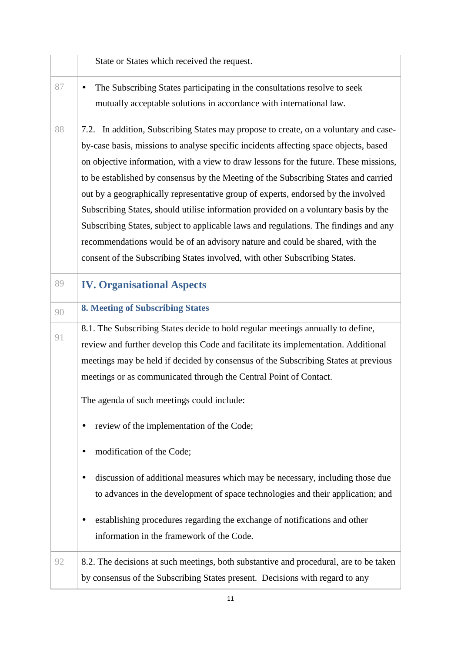|    | State or States which received the request.                                           |
|----|---------------------------------------------------------------------------------------|
| 87 | The Subscribing States participating in the consultations resolve to seek             |
|    | mutually acceptable solutions in accordance with international law.                   |
| 88 | 7.2. In addition, Subscribing States may propose to create, on a voluntary and case-  |
|    | by-case basis, missions to analyse specific incidents affecting space objects, based  |
|    | on objective information, with a view to draw lessons for the future. These missions, |
|    | to be established by consensus by the Meeting of the Subscribing States and carried   |
|    | out by a geographically representative group of experts, endorsed by the involved     |
|    | Subscribing States, should utilise information provided on a voluntary basis by the   |
|    | Subscribing States, subject to applicable laws and regulations. The findings and any  |
|    | recommendations would be of an advisory nature and could be shared, with the          |
|    | consent of the Subscribing States involved, with other Subscribing States.            |
| 89 | <b>IV. Organisational Aspects</b>                                                     |
| 90 | <b>8. Meeting of Subscribing States</b>                                               |
|    | 8.1. The Subscribing States decide to hold regular meetings annually to define,       |
| 91 | review and further develop this Code and facilitate its implementation. Additional    |
|    | meetings may be held if decided by consensus of the Subscribing States at previous    |
|    | meetings or as communicated through the Central Point of Contact.                     |
|    | The agenda of such meetings could include:                                            |
|    | review of the implementation of the Code;                                             |
|    | modification of the Code;                                                             |
|    | discussion of additional measures which may be necessary, including those due         |
|    | to advances in the development of space technologies and their application; and       |
|    | establishing procedures regarding the exchange of notifications and other             |
|    | information in the framework of the Code.                                             |
| 92 | 8.2. The decisions at such meetings, both substantive and procedural, are to be taken |
|    | by consensus of the Subscribing States present. Decisions with regard to any          |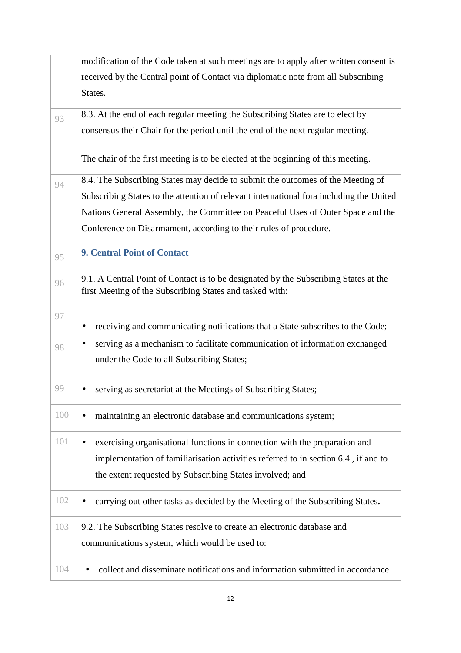|     | modification of the Code taken at such meetings are to apply after written consent is                                                            |
|-----|--------------------------------------------------------------------------------------------------------------------------------------------------|
|     | received by the Central point of Contact via diplomatic note from all Subscribing                                                                |
|     | States.                                                                                                                                          |
| 93  | 8.3. At the end of each regular meeting the Subscribing States are to elect by                                                                   |
|     | consensus their Chair for the period until the end of the next regular meeting.                                                                  |
|     | The chair of the first meeting is to be elected at the beginning of this meeting.                                                                |
| 94  | 8.4. The Subscribing States may decide to submit the outcomes of the Meeting of                                                                  |
|     | Subscribing States to the attention of relevant international fora including the United                                                          |
|     | Nations General Assembly, the Committee on Peaceful Uses of Outer Space and the                                                                  |
|     | Conference on Disarmament, according to their rules of procedure.                                                                                |
| 95  | <b>9. Central Point of Contact</b>                                                                                                               |
| 96  | 9.1. A Central Point of Contact is to be designated by the Subscribing States at the<br>first Meeting of the Subscribing States and tasked with: |
| 97  | receiving and communicating notifications that a State subscribes to the Code;<br>$\bullet$                                                      |
| 98  | serving as a mechanism to facilitate communication of information exchanged<br>$\bullet$                                                         |
|     | under the Code to all Subscribing States;                                                                                                        |
| 99  | serving as secretariat at the Meetings of Subscribing States;                                                                                    |
| 100 | maintaining an electronic database and communications system;                                                                                    |
| 101 | exercising organisational functions in connection with the preparation and                                                                       |
|     | implementation of familiarisation activities referred to in section 6.4., if and to                                                              |
|     | the extent requested by Subscribing States involved; and                                                                                         |
| 102 | carrying out other tasks as decided by the Meeting of the Subscribing States.                                                                    |
| 103 | 9.2. The Subscribing States resolve to create an electronic database and                                                                         |
|     | communications system, which would be used to:                                                                                                   |
| 104 | collect and disseminate notifications and information submitted in accordance                                                                    |